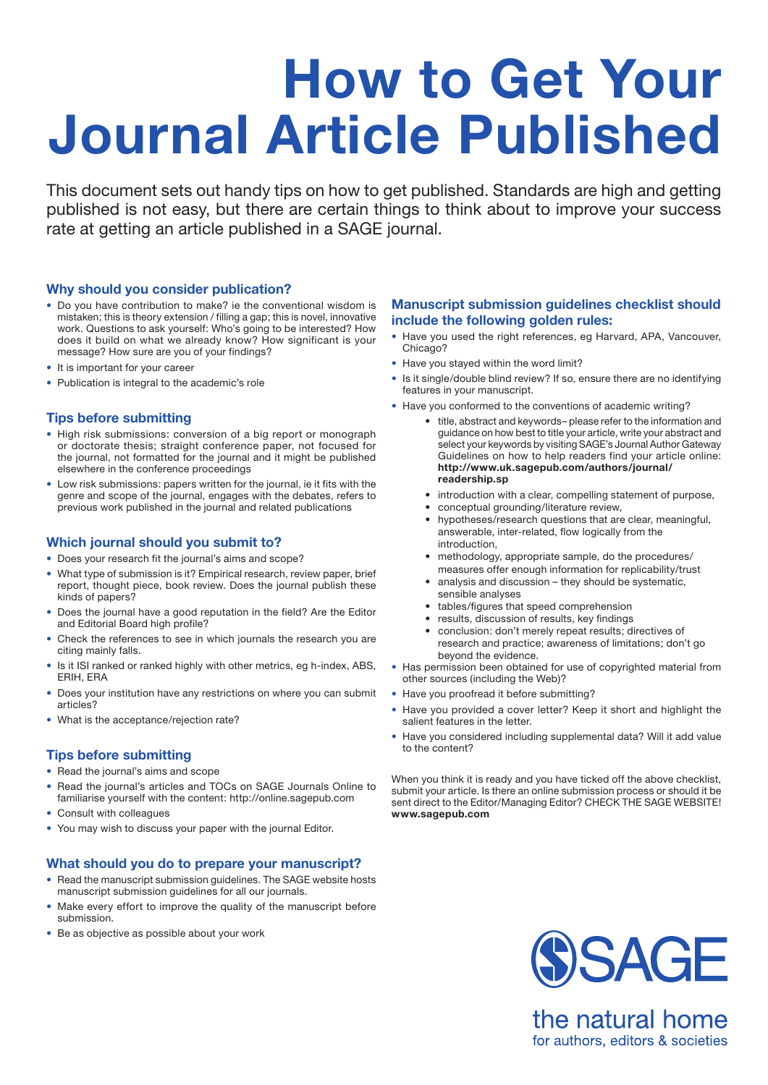# **How to Get Your Journal Article Published**

This document sets out handy tips on how to get published. Standards are high and getting published is not easy, but there are certain things to think about to improve your success rate at getting an article published in a SAGE journal.

# **Why should you consider publication?**

- Do you have contribution to make? ie the conventional wisdom is mistaken; this is theory extension / filling a gap; this is novel, innovative work. Questions to ask yourself: Who's going to be interested? How does it build on what we already know? How significant is your message? How sure are you of your findings?
- It is important for your career
- Publication is integral to the academic's role

# **Tips before submitting**

- High risk submissions: conversion of a big report or monograph or doctorate thesis; straight conference paper, not focused for the journal, not formatted for the journal and it might be published elsewhere in the conference proceedings
- Low risk submissions: papers written for the journal, ie it fits with the genre and scope of the journal, engages with the debates, refers to previous work published in the journal and related publications

#### **Which journal should you submit to?**

- Does your research fit the journal's aims and scope?
- What type of submission is it? Empirical research, review paper, brief report, thought piece, book review. Does the journal publish these kinds of papers?
- Does the journal have a good reputation in the field? Are the Editor and Editorial Board high profile?
- Check the references to see in which journals the research you are citing mainly falls.
- Is it ISI ranked or ranked highly with other metrics, eg h-index, ABS, ERIH, ERA
- Does your institution have any restrictions on where you can submit articles?
- What is the acceptance/rejection rate?

# **Tips before submitting**

- Read the journal's aims and scope
- Read the journal's articles and TOCs on SAGE Journals Online to familiarise yourself with the content: http://online.sagepub.com
- Consult with colleagues
- You may wish to discuss your paper with the journal Editor.

#### **What should you do to prepare your manuscript?**

- Read the manuscript submission guidelines. The SAGE website hosts manuscript submission guidelines for all our journals.
- Make every effort to improve the quality of the manuscript before submission.
- Be as objective as possible about your work

# **Manuscript submission guidelines checklist should include the following golden rules:**

- Have you used the right references, eg Harvard, APA, Vancouver, Chicago?
- Have you stayed within the word limit?
- Is it single/double blind review? If so, ensure there are no identifying features in your manuscript.
- Have you conformed to the conventions of academic writing?
	- • title, abstract and keywords– please refer to the information and guidance on how best to title your article, write your abstract and select your keywords by visiting SAGE's Journal Author Gateway Guidelines on how to help readers find your article online: **http://www.uk.sagepub.com/authors/journal/ readership.sp**
	- introduction with a clear, compelling statement of purpose,
	- conceptual grounding/literature review,
	- • hypotheses/research questions that are clear, meaningful, answerable, inter-related, flow logically from the introduction,
	- methodology, appropriate sample, do the procedures/ measures offer enough information for replicability/trust
	- analysis and discussion they should be systematic, sensible analyses
	- tables/figures that speed comprehension
	- results, discussion of results, key findings
	- conclusion: don't merely repeat results; directives of research and practice; awareness of limitations; don't go beyond the evidence.
- Has permission been obtained for use of copyrighted material from other sources (including the Web)?
- Have you proofread it before submitting?
- Have you provided a cover letter? Keep it short and highlight the salient features in the letter.
- Have you considered including supplemental data? Will it add value to the content?

When you think it is ready and you have ticked off the above checklist, submit your article. Is there an online submission process or should it be sent direct to the Editor/Managing Editor? CHECK THE SAGE WEBSITE! **www.sagepub.com**



the natural home for authors, editors & societies